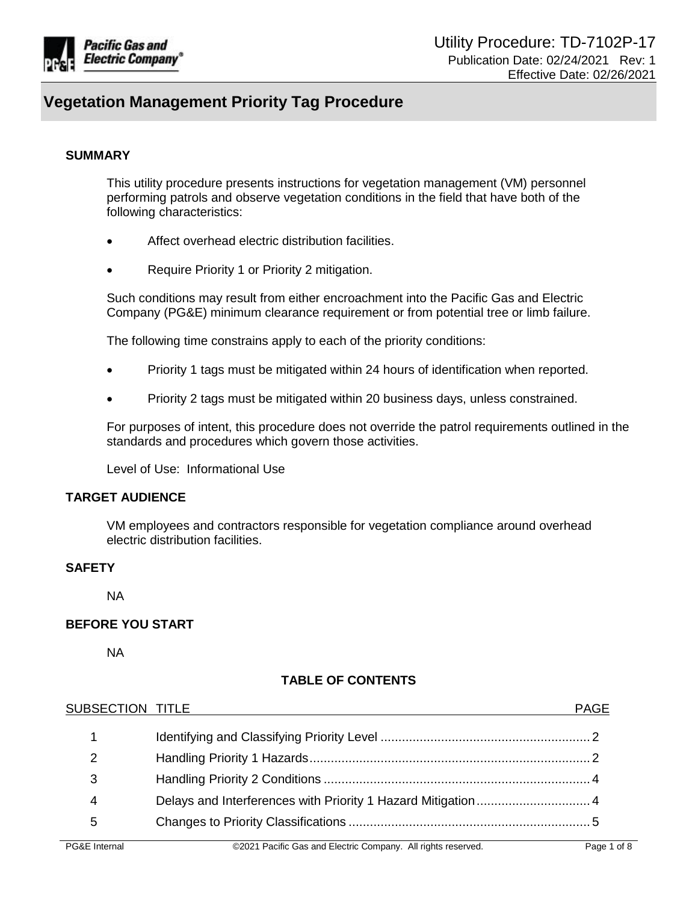

#### **SUMMARY**

This utility procedure presents instructions for vegetation management (VM) personnel performing patrols and observe vegetation conditions in the field that have both of the following characteristics:

- Affect overhead electric distribution facilities.
- Require Priority 1 or Priority 2 mitigation.

Such conditions may result from either encroachment into the Pacific Gas and Electric Company (PG&E) minimum clearance requirement or from potential tree or limb failure.

The following time constrains apply to each of the priority conditions:

- Priority 1 tags must be mitigated within 24 hours of identification when reported.
- Priority 2 tags must be mitigated within 20 business days, unless constrained.

For purposes of intent, this procedure does not override the patrol requirements outlined in the standards and procedures which govern those activities.

Level of Use: Informational Use

## **TARGET AUDIENCE**

VM employees and contractors responsible for vegetation compliance around overhead electric distribution facilities.

#### **SAFETY**

NA

#### **BEFORE YOU START**

NA

## **TABLE OF CONTENTS**

| 3<br>5 | SUBSECTION TITLE |  |
|--------|------------------|--|
|        |                  |  |
|        |                  |  |
|        |                  |  |
|        |                  |  |
|        |                  |  |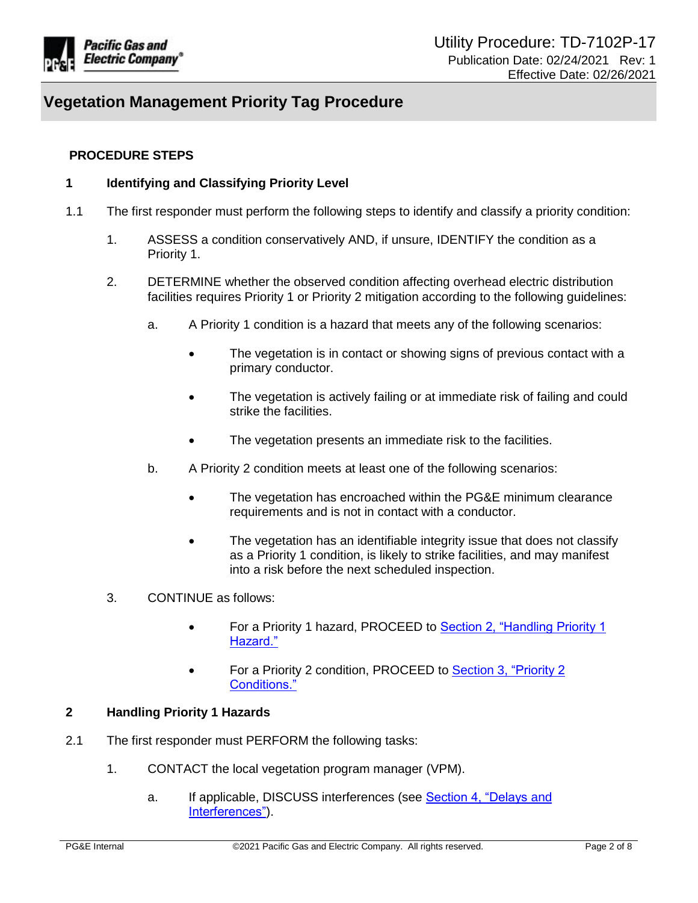

## <span id="page-1-0"></span>**PROCEDURE STEPS**

## **1 Identifying and Classifying Priority Level**

- 1.1 The first responder must perform the following steps to identify and classify a priority condition:
	- 1. ASSESS a condition conservatively AND, if unsure, IDENTIFY the condition as a Priority 1.
	- 2. DETERMINE whether the observed condition affecting overhead electric distribution facilities requires Priority 1 or Priority 2 mitigation according to the following guidelines:
		- a. A Priority 1 condition is a hazard that meets any of the following scenarios:
			- The vegetation is in contact or showing signs of previous contact with a primary conductor.
			- The vegetation is actively failing or at immediate risk of failing and could strike the facilities.
			- The vegetation presents an immediate risk to the facilities.
		- b. A Priority 2 condition meets at least one of the following scenarios:
			- The vegetation has encroached within the PG&E minimum clearance requirements and is not in contact with a conductor.
			- The vegetation has an identifiable integrity issue that does not classify as a Priority 1 condition, is likely to strike facilities, and may manifest into a risk before the next scheduled inspection.
	- 3. CONTINUE as follows:
		- For a Priority 1 hazard, PROCEED to Section 2, "Handling Priority 1 Hazard."
		- For a Priority 2 condition, PROCEED to Section 3, "Priority 2 Conditions."

#### <span id="page-1-1"></span>**2 Handling Priority 1 Hazards**

- 2.1 The first responder must PERFORM the following tasks:
	- 1. CONTACT the local vegetation program manager (VPM).
		- a. If applicable, DISCUSS interferences (see [Section 4, "Delays and](#page-3-2)  [Interferences"\)](#page-3-2).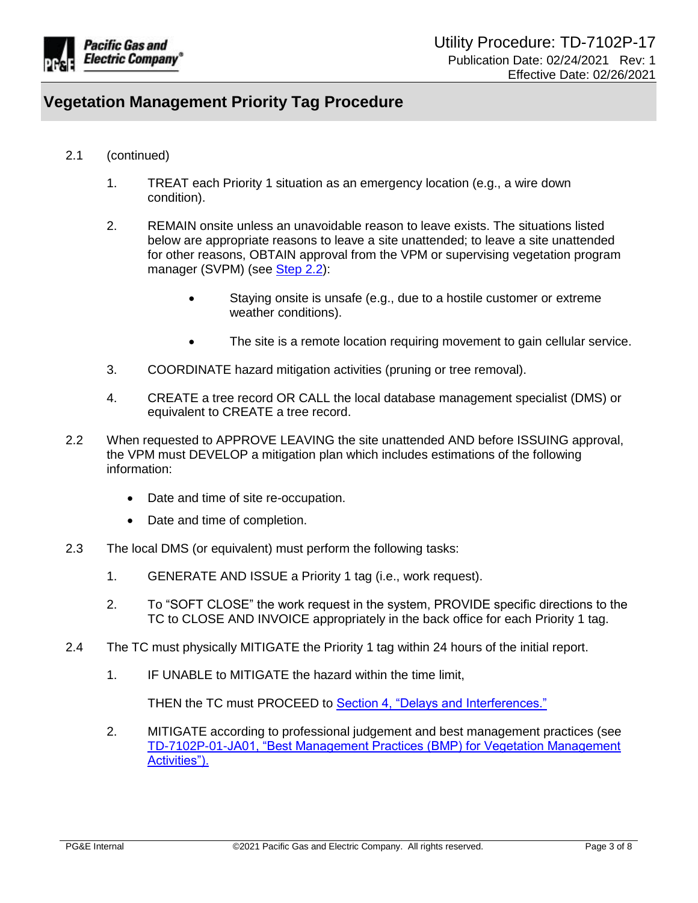

- 2.1 (continued)
	- 1. TREAT each Priority 1 situation as an emergency location (e.g., a wire down condition).
	- 2. REMAIN onsite unless an unavoidable reason to leave exists. The situations listed below are appropriate reasons to leave a site unattended; to leave a site unattended for other reasons, OBTAIN approval from the VPM or supervising vegetation program manager (SVPM) (see Step 2.2):
		- Staying onsite is unsafe (e.g., due to a hostile customer or extreme weather conditions).
		- The site is a remote location requiring movement to gain cellular service.
	- 3. COORDINATE hazard mitigation activities (pruning or tree removal).
	- 4. CREATE a tree record OR CALL the local database management specialist (DMS) or equivalent to CREATE a tree record.
- 2.2 When requested to APPROVE LEAVING the site unattended AND before ISSUING approval, the VPM must DEVELOP a mitigation plan which includes estimations of the following information:
	- Date and time of site re-occupation.
	- Date and time of completion.
- 2.3 The local DMS (or equivalent) must perform the following tasks:
	- 1. GENERATE AND ISSUE a Priority 1 tag (i.e., work request).
	- 2. To "SOFT CLOSE" the work request in the system, PROVIDE specific directions to the TC to CLOSE AND INVOICE appropriately in the back office for each Priority 1 tag.
- 2.4 The TC must physically MITIGATE the Priority 1 tag within 24 hours of the initial report.
	- 1. IF UNABLE to MITIGATE the hazard within the time limit,

THEN the TC must PROCEED to [Section 4, "Delays and Interferences."](#page-3-2)

2. MITIGATE according to professional judgement and best management practices (see [TD-7102P-01-JA01, "Best Management Practices \(BMP\) for Vegetation Management](https://ecmappwlsp01c2.comp.pge.com/TILVIEWER?chronicleId=09131aad8a8133f0&vd=false&device=false)  [Activities"\).](https://ecmappwlsp01c2.comp.pge.com/TILVIEWER?chronicleId=09131aad8a8133f0&vd=false&device=false)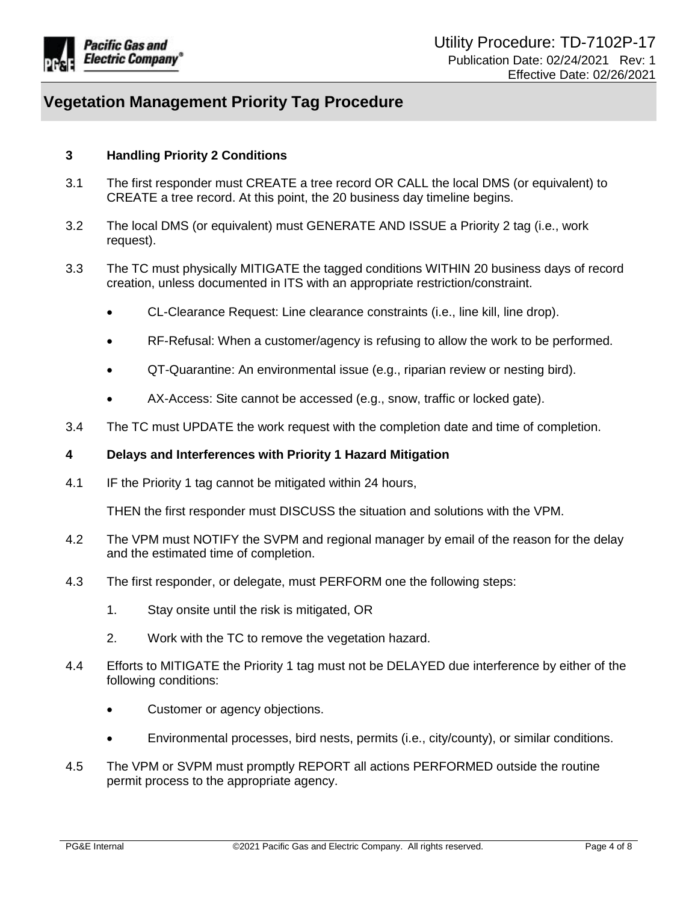

## <span id="page-3-0"></span>**3 Handling Priority 2 Conditions**

- 3.1 The first responder must CREATE a tree record OR CALL the local DMS (or equivalent) to CREATE a tree record. At this point, the 20 business day timeline begins.
- 3.2 The local DMS (or equivalent) must GENERATE AND ISSUE a Priority 2 tag (i.e., work request).
- 3.3 The TC must physically MITIGATE the tagged conditions WITHIN 20 business days of record creation, unless documented in ITS with an appropriate restriction/constraint.
	- CL-Clearance Request: Line clearance constraints (i.e., line kill, line drop).
	- RF-Refusal: When a customer/agency is refusing to allow the work to be performed.
	- QT-Quarantine: An environmental issue (e.g., riparian review or nesting bird).
	- AX-Access: Site cannot be accessed (e.g., snow, traffic or locked gate).
- 3.4 The TC must UPDATE the work request with the completion date and time of completion.

#### <span id="page-3-1"></span>**4 Delays and Interferences with Priority 1 Hazard Mitigation**

<span id="page-3-2"></span>4.1 IF the Priority 1 tag cannot be mitigated within 24 hours,

THEN the first responder must DISCUSS the situation and solutions with the VPM.

- 4.2 The VPM must NOTIFY the SVPM and regional manager by email of the reason for the delay and the estimated time of completion.
- 4.3 The first responder, or delegate, must PERFORM one the following steps:
	- 1. Stay onsite until the risk is mitigated, OR
	- 2. Work with the TC to remove the vegetation hazard.
- 4.4 Efforts to MITIGATE the Priority 1 tag must not be DELAYED due interference by either of the following conditions:
	- Customer or agency objections.
	- Environmental processes, bird nests, permits (i.e., city/county), or similar conditions.
- 4.5 The VPM or SVPM must promptly REPORT all actions PERFORMED outside the routine permit process to the appropriate agency.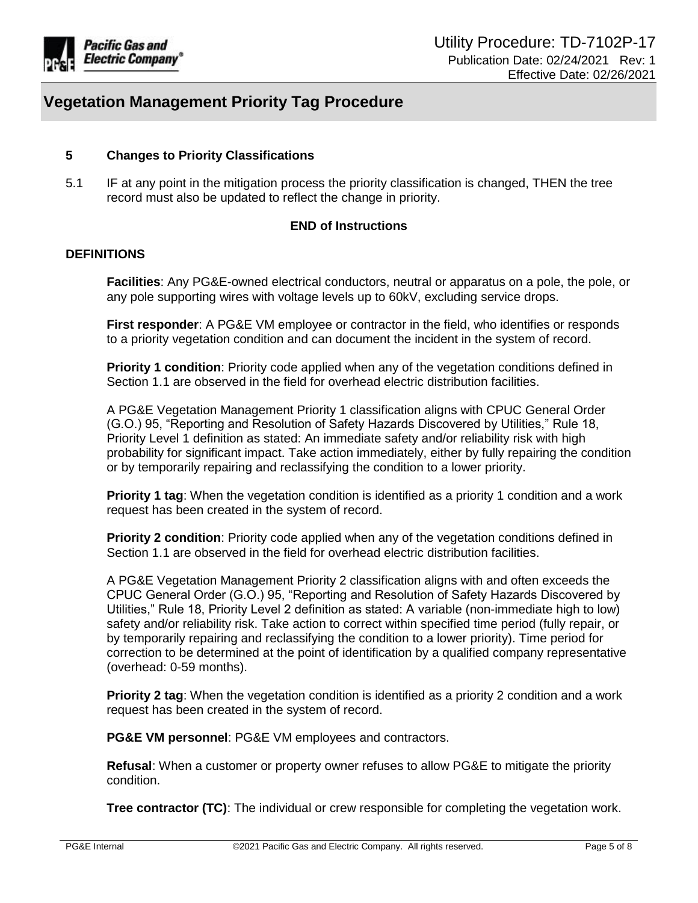

## <span id="page-4-0"></span>**5 Changes to Priority Classifications**

5.1 IF at any point in the mitigation process the priority classification is changed, THEN the tree record must also be updated to reflect the change in priority.

## **END of Instructions**

#### **DEFINITIONS**

**Facilities**: Any PG&E-owned electrical conductors, neutral or apparatus on a pole, the pole, or any pole supporting wires with voltage levels up to 60kV, excluding service drops.

**First responder**: A PG&E VM employee or contractor in the field, who identifies or responds to a priority vegetation condition and can document the incident in the system of record.

**Priority 1 condition**: Priority code applied when any of the vegetation conditions defined in Section 1.1 are observed in the field for overhead electric distribution facilities.

A PG&E Vegetation Management Priority 1 classification aligns with CPUC General Order (G.O.) 95, "Reporting and Resolution of Safety Hazards Discovered by Utilities," Rule 18, Priority Level 1 definition as stated: An immediate safety and/or reliability risk with high probability for significant impact. Take action immediately, either by fully repairing the condition or by temporarily repairing and reclassifying the condition to a lower priority.

**Priority 1 tag**: When the vegetation condition is identified as a priority 1 condition and a work request has been created in the system of record.

**Priority 2 condition**: Priority code applied when any of the vegetation conditions defined in Section 1.1 are observed in the field for overhead electric distribution facilities.

A PG&E Vegetation Management Priority 2 classification aligns with and often exceeds the CPUC General Order (G.O.) 95, "Reporting and Resolution of Safety Hazards Discovered by Utilities," Rule 18, Priority Level 2 definition as stated: A variable (non-immediate high to low) safety and/or reliability risk. Take action to correct within specified time period (fully repair, or by temporarily repairing and reclassifying the condition to a lower priority). Time period for correction to be determined at the point of identification by a qualified company representative (overhead: 0-59 months).

**Priority 2 tag**: When the vegetation condition is identified as a priority 2 condition and a work request has been created in the system of record.

**PG&E VM personnel**: PG&E VM employees and contractors.

**Refusal**: When a customer or property owner refuses to allow PG&E to mitigate the priority condition.

**Tree contractor (TC)**: The individual or crew responsible for completing the vegetation work.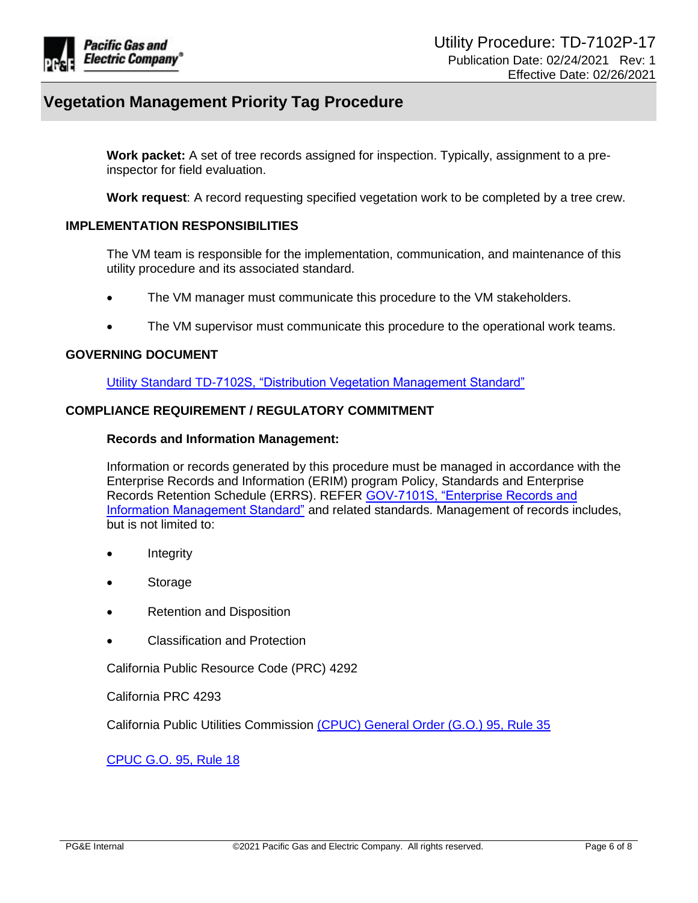

**Work packet:** A set of tree records assigned for inspection. Typically, assignment to a preinspector for field evaluation.

**Work request**: A record requesting specified vegetation work to be completed by a tree crew.

## **IMPLEMENTATION RESPONSIBILITIES**

The VM team is responsible for the implementation, communication, and maintenance of this utility procedure and its associated standard.

- The VM manager must communicate this procedure to the VM stakeholders.
- The VM supervisor must communicate this procedure to the operational work teams.

#### **GOVERNING DOCUMENT**

[Utility Standard TD-7102S, "Distribution Vegetation Management Standard"](https://ecmappwlsp01c2.comp.pge.com/TILVIEWER?chronicleId=09131aad81c3ae35&vd=true&device=false)

## **COMPLIANCE REQUIREMENT / REGULATORY COMMITMENT**

#### **Records and Information Management:**

Information or records generated by this procedure must be managed in accordance with the Enterprise Records and Information (ERIM) program Policy, Standards and Enterprise Records Retention Schedule (ERRS). REFER [GOV-7101S, "Enterprise Records and](https://edrm.comp.pge.com/D2/servlet/Download?auth=basic&event_name=open&version=CURRENT&id=09131aad892834e3&format=pdf&_docbase=pge_ecm)  [Information Management Standard"](https://edrm.comp.pge.com/D2/servlet/Download?auth=basic&event_name=open&version=CURRENT&id=09131aad892834e3&format=pdf&_docbase=pge_ecm) and related standards. Management of records includes, but is not limited to:

- Integrity
- Storage
- Retention and Disposition
- Classification and Protection

California Public Resource Code (PRC) 4292

California PRC 4293

California Public Utilities Commission [\(CPUC\) General Order \(G.O.\) 95, Rule 35](https://www.cpuc.ca.gov/gos/Resmajor/DesNo09-08-029/GO95/DesNo09-08-029-Rule%2035.htm)

[CPUC G.O. 95, Rule 18](https://www.cpuc.ca.gov/gos/Resmajor/DesNo09-08-029/GO95/DesNo09-08-029-Rule%2018.htm)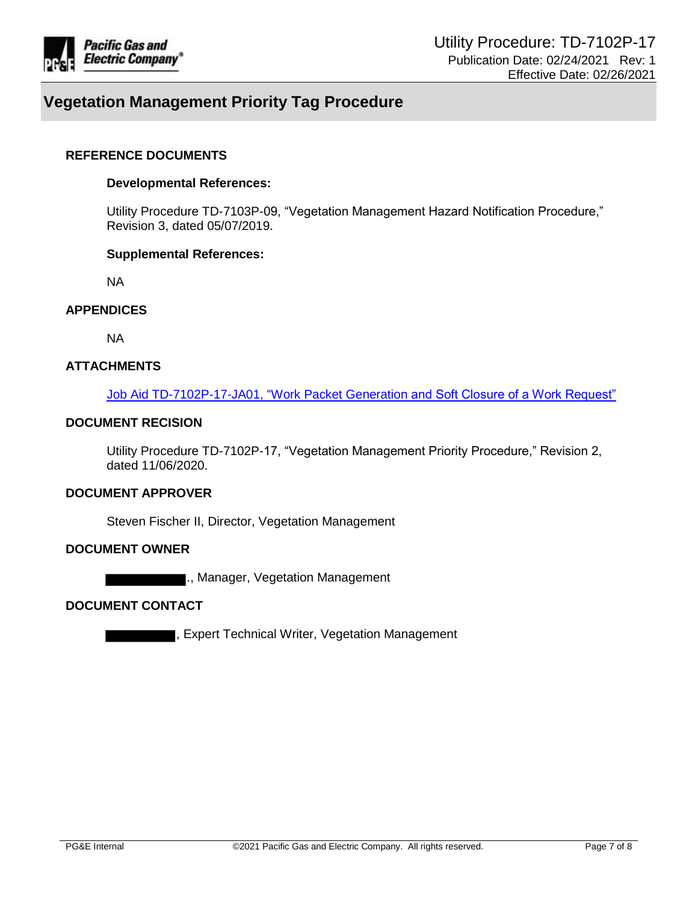

#### **REFERENCE DOCUMENTS**

#### **Developmental References:**

Utility Procedure TD-7103P-09, "Vegetation Management Hazard Notification Procedure," Revision 3, dated 05/07/2019.

#### **Supplemental References:**

NA

## **APPENDICES**

NA

## **ATTACHMENTS**

[Job Aid TD-7102P-17-JA01, "Work Packet Generation and Soft Closure of a Work Request"](https://edrm.comp.pge.com/D2/?docbase=pge_ecm&commandEvent=D2_ACTION_CONTENT_VIEW&locateDql=pge_document(all)%20where%20i_chronicle_id%20=)

## **DOCUMENT RECISION**

Utility Procedure TD-7102P-17, "Vegetation Management Priority Procedure," Revision 2, dated 11/06/2020.

#### **DOCUMENT APPROVER**

Steven Fischer II, Director, Vegetation Management

#### **DOCUMENT OWNER**

., Manager, Vegetation Management

#### **DOCUMENT CONTACT**

, Expert Technical Writer, Vegetation Management